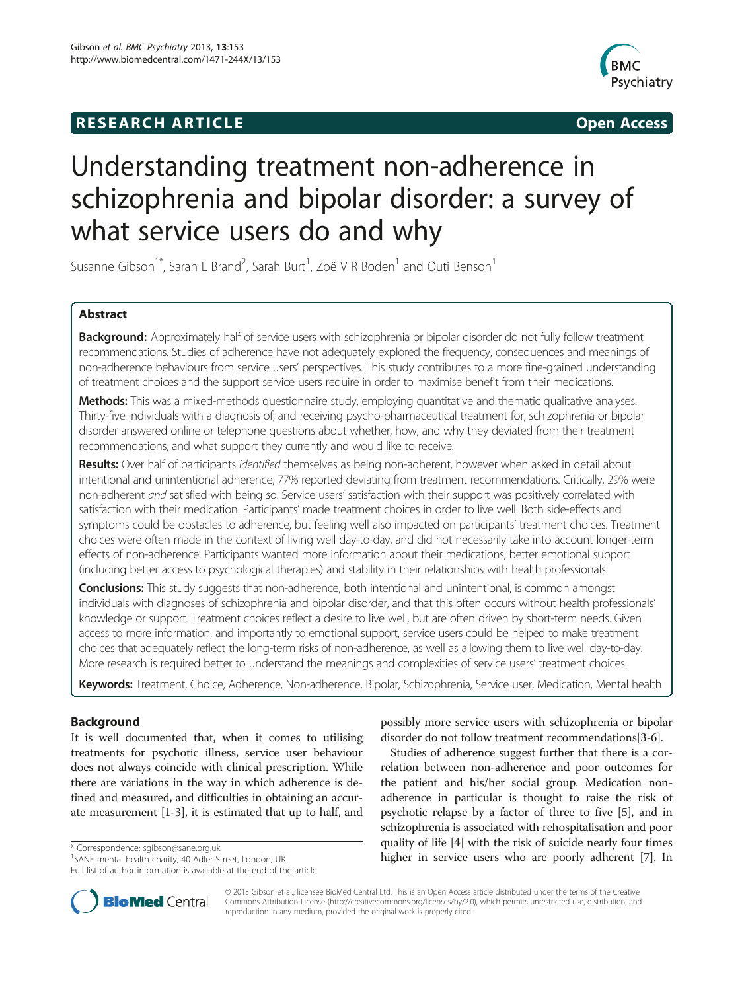# **RESEARCH ARTICLE Example 2014 The SEAR CH ACCESS**



# Understanding treatment non-adherence in schizophrenia and bipolar disorder: a survey of what service users do and why

Susanne Gibson<sup>1\*</sup>, Sarah L Brand<sup>2</sup>, Sarah Burt<sup>1</sup>, Zoë V R Boden<sup>1</sup> and Outi Benson<sup>1</sup>

# Abstract

Background: Approximately half of service users with schizophrenia or bipolar disorder do not fully follow treatment recommendations. Studies of adherence have not adequately explored the frequency, consequences and meanings of non-adherence behaviours from service users' perspectives. This study contributes to a more fine-grained understanding of treatment choices and the support service users require in order to maximise benefit from their medications.

Methods: This was a mixed-methods questionnaire study, employing quantitative and thematic qualitative analyses. Thirty-five individuals with a diagnosis of, and receiving psycho-pharmaceutical treatment for, schizophrenia or bipolar disorder answered online or telephone questions about whether, how, and why they deviated from their treatment recommendations, and what support they currently and would like to receive.

Results: Over half of participants identified themselves as being non-adherent, however when asked in detail about intentional and unintentional adherence, 77% reported deviating from treatment recommendations. Critically, 29% were non-adherent and satisfied with being so. Service users' satisfaction with their support was positively correlated with satisfaction with their medication. Participants' made treatment choices in order to live well. Both side-effects and symptoms could be obstacles to adherence, but feeling well also impacted on participants' treatment choices. Treatment choices were often made in the context of living well day-to-day, and did not necessarily take into account longer-term effects of non-adherence. Participants wanted more information about their medications, better emotional support (including better access to psychological therapies) and stability in their relationships with health professionals.

**Conclusions:** This study suggests that non-adherence, both intentional and unintentional, is common amongst individuals with diagnoses of schizophrenia and bipolar disorder, and that this often occurs without health professionals' knowledge or support. Treatment choices reflect a desire to live well, but are often driven by short-term needs. Given access to more information, and importantly to emotional support, service users could be helped to make treatment choices that adequately reflect the long-term risks of non-adherence, as well as allowing them to live well day-to-day. More research is required better to understand the meanings and complexities of service users' treatment choices.

Keywords: Treatment, Choice, Adherence, Non-adherence, Bipolar, Schizophrenia, Service user, Medication, Mental health

# Background

It is well documented that, when it comes to utilising treatments for psychotic illness, service user behaviour does not always coincide with clinical prescription. While there are variations in the way in which adherence is defined and measured, and difficulties in obtaining an accurate measurement [\[1-3](#page-10-0)], it is estimated that up to half, and

Full list of author information is available at the end of the article

possibly more service users with schizophrenia or bipolar disorder do not follow treatment recommendations[\[3-6](#page-10-0)].

Studies of adherence suggest further that there is a correlation between non-adherence and poor outcomes for the patient and his/her social group. Medication nonadherence in particular is thought to raise the risk of psychotic relapse by a factor of three to five [[5](#page-10-0)], and in schizophrenia is associated with rehospitalisation and poor quality of life [[4\]](#page-10-0) with the risk of suicide nearly four times e quality of the part with the fisk of suicide nearly four times<br>
<sup>1</sup>SANE mental health charity, 40 Adler Street, London, UK<br>
<sup>1</sup>SANE mental health charity, 40 Adler Street, London, UK<br> **1988 higher in service users who** 



© 2013 Gibson et al.; licensee BioMed Central Ltd. This is an Open Access article distributed under the terms of the Creative Commons Attribution License [\(http://creativecommons.org/licenses/by/2.0\)](http://creativecommons.org/licenses/by/2.0), which permits unrestricted use, distribution, and reproduction in any medium, provided the original work is properly cited.

<sup>&</sup>lt;sup>1</sup>SANE mental health charity, 40 Adler Street, London, UK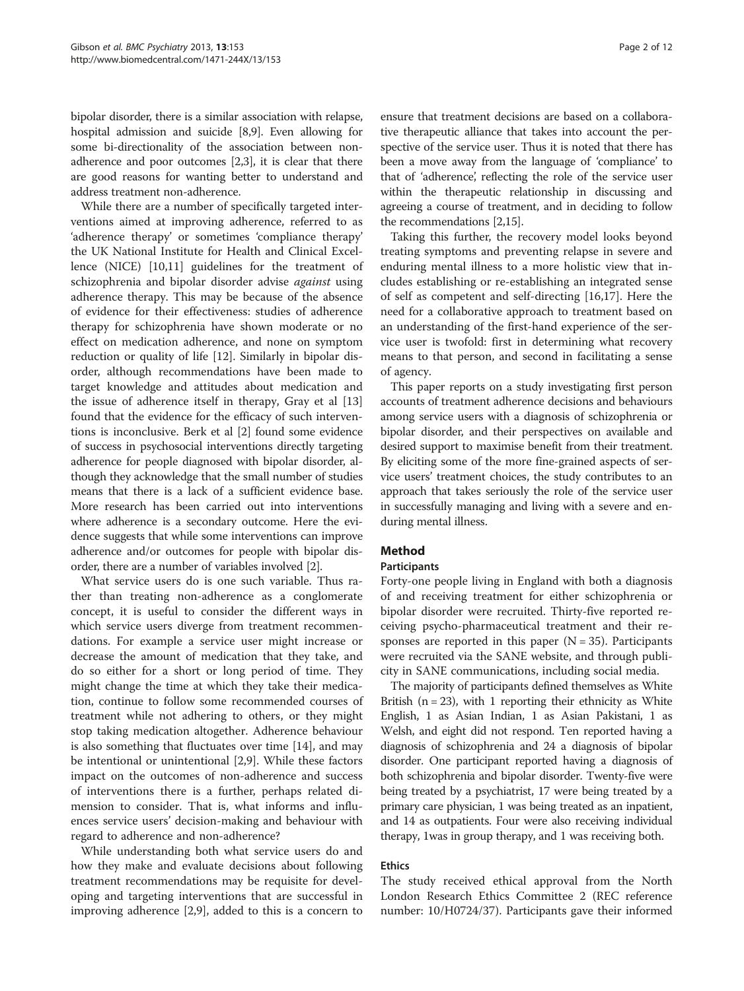bipolar disorder, there is a similar association with relapse, hospital admission and suicide [\[8,9\]](#page-10-0). Even allowing for some bi-directionality of the association between nonadherence and poor outcomes [[2,3\]](#page-10-0), it is clear that there are good reasons for wanting better to understand and address treatment non-adherence.

While there are a number of specifically targeted interventions aimed at improving adherence, referred to as 'adherence therapy' or sometimes 'compliance therapy' the UK National Institute for Health and Clinical Excellence (NICE) [\[10,11](#page-10-0)] guidelines for the treatment of schizophrenia and bipolar disorder advise *against* using adherence therapy. This may be because of the absence of evidence for their effectiveness: studies of adherence therapy for schizophrenia have shown moderate or no effect on medication adherence, and none on symptom reduction or quality of life [[12](#page-10-0)]. Similarly in bipolar disorder, although recommendations have been made to target knowledge and attitudes about medication and the issue of adherence itself in therapy, Gray et al [[13](#page-10-0)] found that the evidence for the efficacy of such interventions is inconclusive. Berk et al [\[2\]](#page-10-0) found some evidence of success in psychosocial interventions directly targeting adherence for people diagnosed with bipolar disorder, although they acknowledge that the small number of studies means that there is a lack of a sufficient evidence base. More research has been carried out into interventions where adherence is a secondary outcome. Here the evidence suggests that while some interventions can improve adherence and/or outcomes for people with bipolar disorder, there are a number of variables involved [\[2](#page-10-0)].

What service users do is one such variable. Thus rather than treating non-adherence as a conglomerate concept, it is useful to consider the different ways in which service users diverge from treatment recommendations. For example a service user might increase or decrease the amount of medication that they take, and do so either for a short or long period of time. They might change the time at which they take their medication, continue to follow some recommended courses of treatment while not adhering to others, or they might stop taking medication altogether. Adherence behaviour is also something that fluctuates over time [\[14](#page-10-0)], and may be intentional or unintentional [\[2,9](#page-10-0)]. While these factors impact on the outcomes of non-adherence and success of interventions there is a further, perhaps related dimension to consider. That is, what informs and influences service users' decision-making and behaviour with regard to adherence and non-adherence?

While understanding both what service users do and how they make and evaluate decisions about following treatment recommendations may be requisite for developing and targeting interventions that are successful in improving adherence [\[2,9](#page-10-0)], added to this is a concern to ensure that treatment decisions are based on a collaborative therapeutic alliance that takes into account the perspective of the service user. Thus it is noted that there has been a move away from the language of 'compliance' to that of 'adherence', reflecting the role of the service user within the therapeutic relationship in discussing and agreeing a course of treatment, and in deciding to follow the recommendations [[2,](#page-10-0)[15](#page-11-0)].

Taking this further, the recovery model looks beyond treating symptoms and preventing relapse in severe and enduring mental illness to a more holistic view that includes establishing or re-establishing an integrated sense of self as competent and self-directing [\[16,17](#page-11-0)]. Here the need for a collaborative approach to treatment based on an understanding of the first-hand experience of the service user is twofold: first in determining what recovery means to that person, and second in facilitating a sense of agency.

This paper reports on a study investigating first person accounts of treatment adherence decisions and behaviours among service users with a diagnosis of schizophrenia or bipolar disorder, and their perspectives on available and desired support to maximise benefit from their treatment. By eliciting some of the more fine-grained aspects of service users' treatment choices, the study contributes to an approach that takes seriously the role of the service user in successfully managing and living with a severe and enduring mental illness.

# Method

#### **Participants**

Forty-one people living in England with both a diagnosis of and receiving treatment for either schizophrenia or bipolar disorder were recruited. Thirty-five reported receiving psycho-pharmaceutical treatment and their responses are reported in this paper  $(N = 35)$ . Participants were recruited via the SANE website, and through publicity in SANE communications, including social media.

The majority of participants defined themselves as White British ( $n = 23$ ), with 1 reporting their ethnicity as White English, 1 as Asian Indian, 1 as Asian Pakistani, 1 as Welsh, and eight did not respond. Ten reported having a diagnosis of schizophrenia and 24 a diagnosis of bipolar disorder. One participant reported having a diagnosis of both schizophrenia and bipolar disorder. Twenty-five were being treated by a psychiatrist, 17 were being treated by a primary care physician, 1 was being treated as an inpatient, and 14 as outpatients. Four were also receiving individual therapy, 1was in group therapy, and 1 was receiving both.

#### Ethics

The study received ethical approval from the North London Research Ethics Committee 2 (REC reference number: 10/H0724/37). Participants gave their informed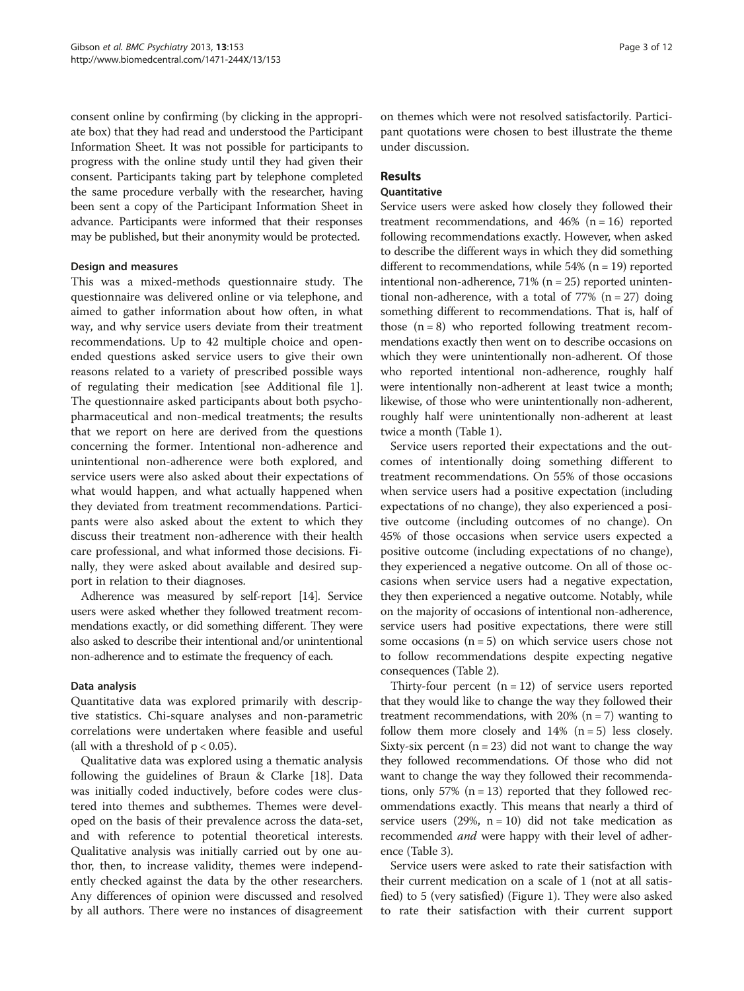consent online by confirming (by clicking in the appropriate box) that they had read and understood the Participant Information Sheet. It was not possible for participants to progress with the online study until they had given their consent. Participants taking part by telephone completed the same procedure verbally with the researcher, having been sent a copy of the Participant Information Sheet in advance. Participants were informed that their responses may be published, but their anonymity would be protected.

#### Design and measures

This was a mixed-methods questionnaire study. The questionnaire was delivered online or via telephone, and aimed to gather information about how often, in what way, and why service users deviate from their treatment recommendations. Up to 42 multiple choice and openended questions asked service users to give their own reasons related to a variety of prescribed possible ways of regulating their medication [see Additional file [1](#page-10-0)]. The questionnaire asked participants about both psychopharmaceutical and non-medical treatments; the results that we report on here are derived from the questions concerning the former. Intentional non-adherence and unintentional non-adherence were both explored, and service users were also asked about their expectations of what would happen, and what actually happened when they deviated from treatment recommendations. Participants were also asked about the extent to which they discuss their treatment non-adherence with their health care professional, and what informed those decisions. Finally, they were asked about available and desired support in relation to their diagnoses.

Adherence was measured by self-report [\[14](#page-10-0)]. Service users were asked whether they followed treatment recommendations exactly, or did something different. They were also asked to describe their intentional and/or unintentional non-adherence and to estimate the frequency of each.

# Data analysis

Quantitative data was explored primarily with descriptive statistics. Chi-square analyses and non-parametric correlations were undertaken where feasible and useful (all with a threshold of  $p < 0.05$ ).

Qualitative data was explored using a thematic analysis following the guidelines of Braun & Clarke [\[18](#page-11-0)]. Data was initially coded inductively, before codes were clustered into themes and subthemes. Themes were developed on the basis of their prevalence across the data-set, and with reference to potential theoretical interests. Qualitative analysis was initially carried out by one author, then, to increase validity, themes were independently checked against the data by the other researchers. Any differences of opinion were discussed and resolved by all authors. There were no instances of disagreement

on themes which were not resolved satisfactorily. Participant quotations were chosen to best illustrate the theme under discussion.

# Results

#### **Quantitative**

Service users were asked how closely they followed their treatment recommendations, and  $46%$  (n = 16) reported following recommendations exactly. However, when asked to describe the different ways in which they did something different to recommendations, while  $54\%$  (n = 19) reported intentional non-adherence,  $71\%$  (n = 25) reported unintentional non-adherence, with a total of  $77\%$  (n = 27) doing something different to recommendations. That is, half of those  $(n = 8)$  who reported following treatment recommendations exactly then went on to describe occasions on which they were unintentionally non-adherent. Of those who reported intentional non-adherence, roughly half were intentionally non-adherent at least twice a month; likewise, of those who were unintentionally non-adherent, roughly half were unintentionally non-adherent at least twice a month (Table [1\)](#page-3-0).

Service users reported their expectations and the outcomes of intentionally doing something different to treatment recommendations. On 55% of those occasions when service users had a positive expectation (including expectations of no change), they also experienced a positive outcome (including outcomes of no change). On 45% of those occasions when service users expected a positive outcome (including expectations of no change), they experienced a negative outcome. On all of those occasions when service users had a negative expectation, they then experienced a negative outcome. Notably, while on the majority of occasions of intentional non-adherence, service users had positive expectations, there were still some occasions  $(n = 5)$  on which service users chose not to follow recommendations despite expecting negative consequences (Table [2](#page-3-0)).

Thirty-four percent  $(n = 12)$  of service users reported that they would like to change the way they followed their treatment recommendations, with  $20\%$  (n = 7) wanting to follow them more closely and  $14%$   $(n = 5)$  less closely. Sixty-six percent  $(n = 23)$  did not want to change the way they followed recommendations. Of those who did not want to change the way they followed their recommendations, only 57%  $(n = 13)$  reported that they followed recommendations exactly. This means that nearly a third of service users  $(29\%, n = 10)$  did not take medication as recommended *and* were happy with their level of adherence (Table [3\)](#page-4-0).

Service users were asked to rate their satisfaction with their current medication on a scale of 1 (not at all satisfied) to 5 (very satisfied) (Figure [1](#page-5-0)). They were also asked to rate their satisfaction with their current support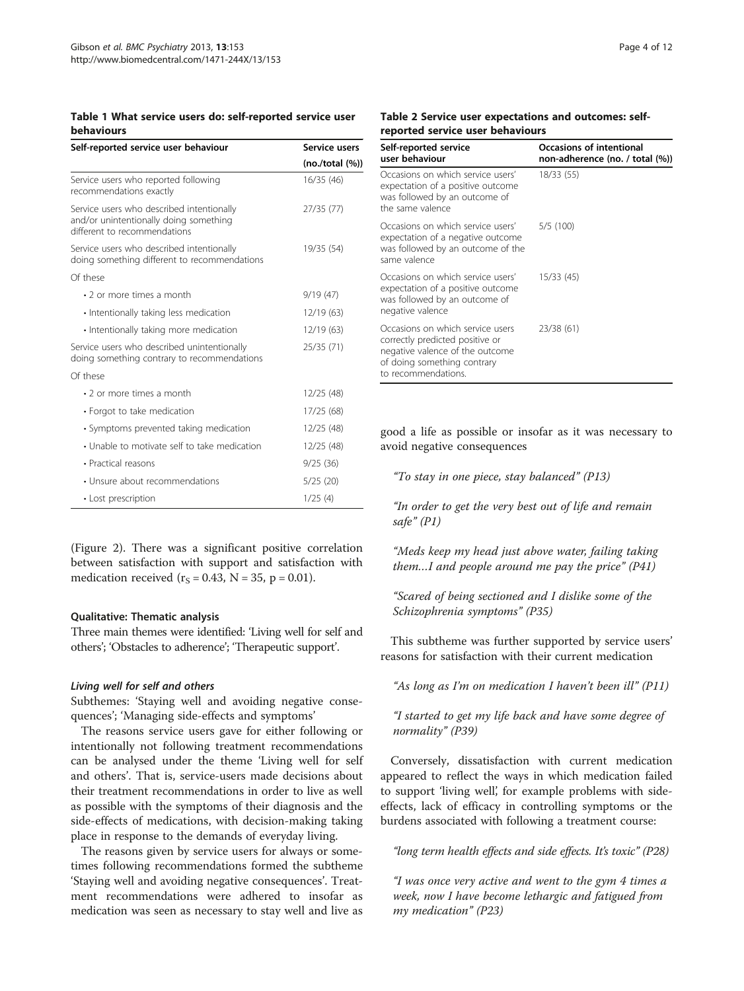#### <span id="page-3-0"></span>Table 1 What service users do: self-reported service user behaviours

| Self-reported service user behaviour                                                                                | Service users   |  |
|---------------------------------------------------------------------------------------------------------------------|-----------------|--|
|                                                                                                                     | (no./total (%)) |  |
| Service users who reported following<br>recommendations exactly                                                     | 16/35(46)       |  |
| Service users who described intentionally<br>and/or unintentionally doing something<br>different to recommendations | 27/35 (77)      |  |
| Service users who described intentionally<br>doing something different to recommendations                           | 19/35 (54)      |  |
| Of these                                                                                                            |                 |  |
| $\cdot$ 2 or more times a month                                                                                     | 9/19(47)        |  |
| • Intentionally taking less medication                                                                              | 12/19(63)       |  |
| · Intentionally taking more medication                                                                              | 12/19(63)       |  |
| Service users who described unintentionally<br>doing something contrary to recommendations                          | 25/35 (71)      |  |
| Of these                                                                                                            |                 |  |
| • 2 or more times a month                                                                                           | 12/25(48)       |  |
| • Forgot to take medication                                                                                         | 17/25 (68)      |  |
| • Symptoms prevented taking medication                                                                              | 12/25 (48)      |  |
| • Unable to motivate self to take medication                                                                        | 12/25 (48)      |  |
| • Practical reasons                                                                                                 | 9/25(36)        |  |
| • Unsure about recommendations                                                                                      | 5/25(20)        |  |
| • Lost prescription                                                                                                 | 1/25(4)         |  |

(Figure [2](#page-5-0)). There was a significant positive correlation between satisfaction with support and satisfaction with medication received ( $r_S = 0.43$ , N = 35, p = 0.01).

#### Qualitative: Thematic analysis

Three main themes were identified: 'Living well for self and others'; 'Obstacles to adherence'; 'Therapeutic support'.

#### Living well for self and others

Subthemes: 'Staying well and avoiding negative consequences'; 'Managing side-effects and symptoms'

The reasons service users gave for either following or intentionally not following treatment recommendations can be analysed under the theme 'Living well for self and others'. That is, service-users made decisions about their treatment recommendations in order to live as well as possible with the symptoms of their diagnosis and the side-effects of medications, with decision-making taking place in response to the demands of everyday living.

The reasons given by service users for always or sometimes following recommendations formed the subtheme 'Staying well and avoiding negative consequences'. Treatment recommendations were adhered to insofar as medication was seen as necessary to stay well and live as

#### Table 2 Service user expectations and outcomes: selfreported service user behaviours

| Self-reported service<br>user behaviour                                                                                                                      | <b>Occasions of intentional</b><br>non-adherence (no. / total (%)) |
|--------------------------------------------------------------------------------------------------------------------------------------------------------------|--------------------------------------------------------------------|
| Occasions on which service users'<br>expectation of a positive outcome<br>was followed by an outcome of<br>the same valence                                  | 18/33 (55)                                                         |
| Occasions on which service users'<br>expectation of a negative outcome<br>was followed by an outcome of the<br>same valence                                  | 5/5(100)                                                           |
| Occasions on which service users'<br>expectation of a positive outcome<br>was followed by an outcome of<br>negative valence                                  | 15/33 (45)                                                         |
| Occasions on which service users<br>correctly predicted positive or<br>negative valence of the outcome<br>of doing something contrary<br>to recommendations. | 23/38 (61)                                                         |

good a life as possible or insofar as it was necessary to avoid negative consequences

"To stay in one piece, stay balanced" (P13)

"In order to get the very best out of life and remain safe" (P1)

"Meds keep my head just above water, failing taking them...I and people around me pay the price"  $(P41)$ 

"Scared of being sectioned and I dislike some of the Schizophrenia symptoms" (P35)

This subtheme was further supported by service users' reasons for satisfaction with their current medication

"As long as I'm on medication I haven't been ill" (P11)

"I started to get my life back and have some degree of normality" (P39)

Conversely, dissatisfaction with current medication appeared to reflect the ways in which medication failed to support 'living well', for example problems with sideeffects, lack of efficacy in controlling symptoms or the burdens associated with following a treatment course:

"long term health effects and side effects. It's toxic" (P28)

"I was once very active and went to the gym 4 times a week, now I have become lethargic and fatigued from my medication" (P23)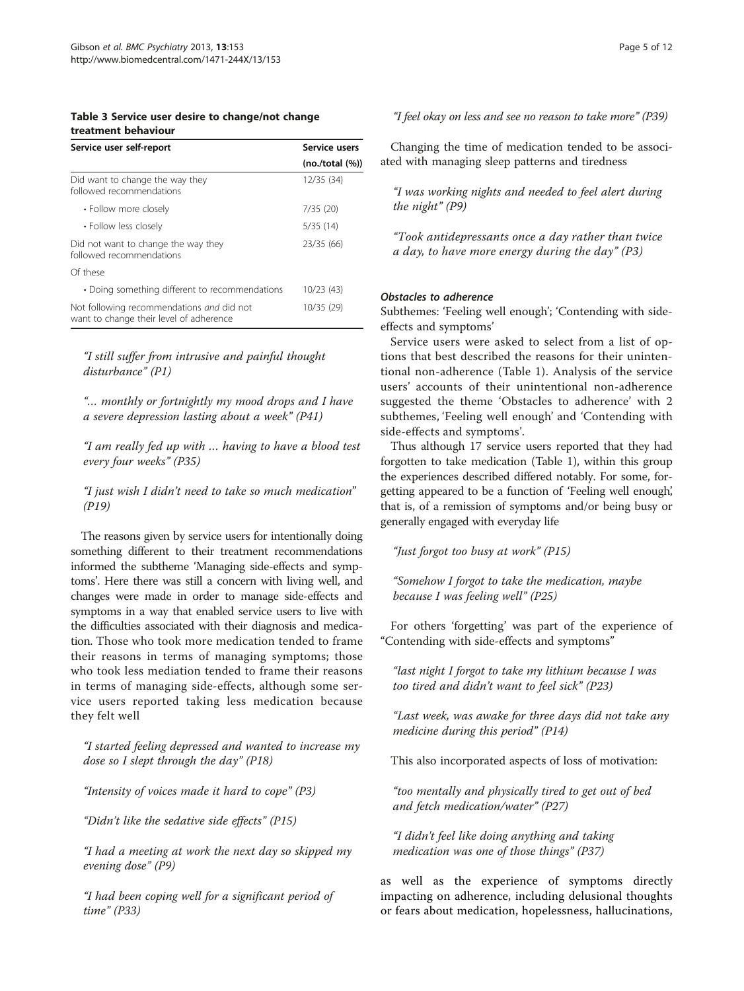## <span id="page-4-0"></span>Table 3 Service user desire to change/not change treatment behaviour

| Service user self-report                                                             | Service users   |  |
|--------------------------------------------------------------------------------------|-----------------|--|
|                                                                                      | (no./total (%)) |  |
| Did want to change the way they<br>followed recommendations                          | 12/35(34)       |  |
| • Follow more closely                                                                | 7/35(20)        |  |
| • Follow less closely                                                                | 5/35(14)        |  |
| Did not want to change the way they<br>followed recommendations                      | 23/35 (66)      |  |
| Of these                                                                             |                 |  |
| • Doing something different to recommendations                                       | 10/23(43)       |  |
| Not following recommendations and did not<br>want to change their level of adherence | 10/35 (29)      |  |

"I still suffer from intrusive and painful thought disturbance" (P1)

"… monthly or fortnightly my mood drops and I have a severe depression lasting about a week" (P41)

"I am really fed up with … having to have a blood test every four weeks" (P35)

"I just wish I didn't need to take so much medication" (P19)

The reasons given by service users for intentionally doing something different to their treatment recommendations informed the subtheme 'Managing side-effects and symptoms'. Here there was still a concern with living well, and changes were made in order to manage side-effects and symptoms in a way that enabled service users to live with the difficulties associated with their diagnosis and medication. Those who took more medication tended to frame their reasons in terms of managing symptoms; those who took less mediation tended to frame their reasons in terms of managing side-effects, although some service users reported taking less medication because they felt well

"I started feeling depressed and wanted to increase my dose so I slept through the day" (P18)

"Intensity of voices made it hard to cope"  $(P3)$ 

"Didn't like the sedative side effects" (P15)

"I had a meeting at work the next day so skipped my evening dose" (P9)

"I had been coping well for a significant period of time" (P33)

"I feel okay on less and see no reason to take more" (P39)

Changing the time of medication tended to be associated with managing sleep patterns and tiredness

"I was working nights and needed to feel alert during the night" (P9)

"Took antidepressants once a day rather than twice a day, to have more energy during the day"  $(P3)$ 

#### Obstacles to adherence

Subthemes: 'Feeling well enough'; 'Contending with sideeffects and symptoms'

Service users were asked to select from a list of options that best described the reasons for their unintentional non-adherence (Table [1\)](#page-3-0). Analysis of the service users' accounts of their unintentional non-adherence suggested the theme 'Obstacles to adherence' with 2 subthemes, 'Feeling well enough' and 'Contending with side-effects and symptoms'.

Thus although 17 service users reported that they had forgotten to take medication (Table [1\)](#page-3-0), within this group the experiences described differed notably. For some, forgetting appeared to be a function of 'Feeling well enough', that is, of a remission of symptoms and/or being busy or generally engaged with everyday life

"Just forgot too busy at work" (P15)

"Somehow I forgot to take the medication, maybe because I was feeling well" (P25)

For others 'forgetting' was part of the experience of "Contending with side-effects and symptoms"

"last night I forgot to take my lithium because I was too tired and didn't want to feel sick" (P23)

"Last week, was awake for three days did not take any medicine during this period" (P14)

This also incorporated aspects of loss of motivation:

"too mentally and physically tired to get out of bed and fetch medication/water" (P27)

"I didn't feel like doing anything and taking medication was one of those things" (P37)

as well as the experience of symptoms directly impacting on adherence, including delusional thoughts or fears about medication, hopelessness, hallucinations,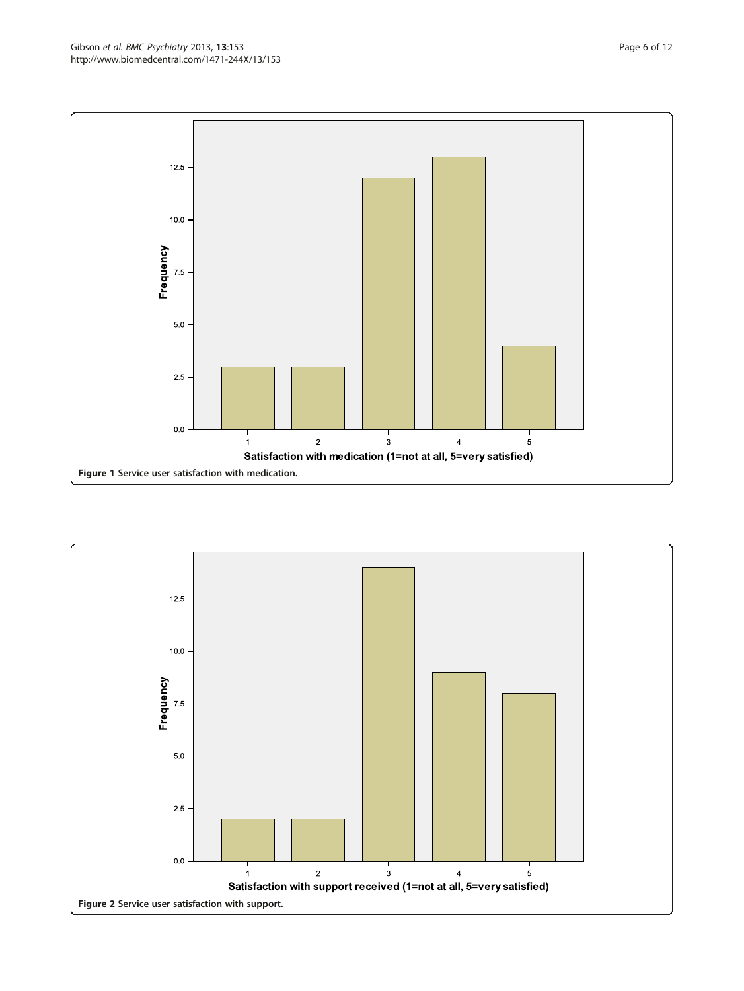<span id="page-5-0"></span>

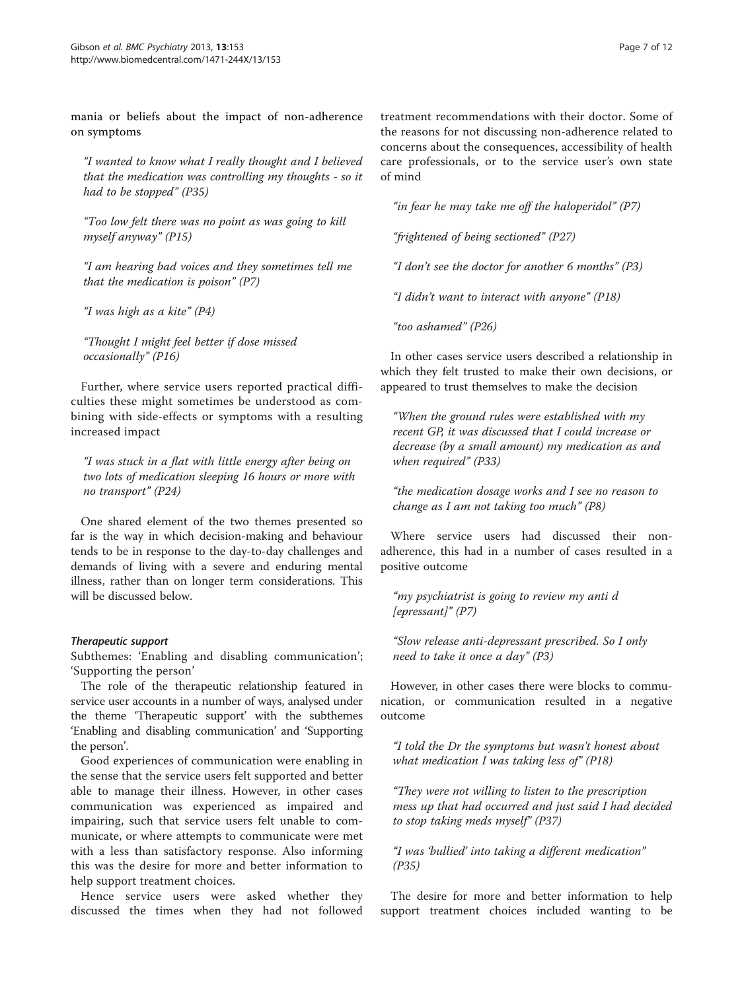mania or beliefs about the impact of non-adherence on symptoms

"I wanted to know what I really thought and I believed that the medication was controlling my thoughts - so it had to be stopped" (P35)

"Too low felt there was no point as was going to kill myself anyway" (P15)

"I am hearing bad voices and they sometimes tell me that the medication is poison"  $(P7)$ 

"I was high as a kite" (P4)

"Thought I might feel better if dose missed occasionally" (P16)

Further, where service users reported practical difficulties these might sometimes be understood as combining with side-effects or symptoms with a resulting increased impact

"I was stuck in a flat with little energy after being on two lots of medication sleeping 16 hours or more with no transport" (P24)

One shared element of the two themes presented so far is the way in which decision-making and behaviour tends to be in response to the day-to-day challenges and demands of living with a severe and enduring mental illness, rather than on longer term considerations. This will be discussed below.

#### Therapeutic support

Subthemes: 'Enabling and disabling communication'; 'Supporting the person'

The role of the therapeutic relationship featured in service user accounts in a number of ways, analysed under the theme 'Therapeutic support' with the subthemes 'Enabling and disabling communication' and 'Supporting the person'.

Good experiences of communication were enabling in the sense that the service users felt supported and better able to manage their illness. However, in other cases communication was experienced as impaired and impairing, such that service users felt unable to communicate, or where attempts to communicate were met with a less than satisfactory response. Also informing this was the desire for more and better information to help support treatment choices.

Hence service users were asked whether they discussed the times when they had not followed

treatment recommendations with their doctor. Some of the reasons for not discussing non-adherence related to concerns about the consequences, accessibility of health care professionals, or to the service user's own state of mind

"in fear he may take me off the haloperidol" (P7)

"frightened of being sectioned" (P27)

"I don't see the doctor for another 6 months" (P3)

"I didn't want to interact with anyone" (P18)

"too ashamed" (P26)

In other cases service users described a relationship in which they felt trusted to make their own decisions, or appeared to trust themselves to make the decision

"When the ground rules were established with my recent GP, it was discussed that I could increase or decrease (by a small amount) my medication as and when required" (P33)

"the medication dosage works and I see no reason to change as I am not taking too much" (P8)

Where service users had discussed their nonadherence, this had in a number of cases resulted in a positive outcome

"my psychiatrist is going to review my anti d [epressant]" (P7)

"Slow release anti-depressant prescribed. So I only need to take it once a day" (P3)

However, in other cases there were blocks to communication, or communication resulted in a negative outcome

"I told the Dr the symptoms but wasn't honest about what medication I was taking less of"  $(PI8)$ 

"They were not willing to listen to the prescription mess up that had occurred and just said I had decided to stop taking meds myself" (P37)

"I was 'bullied' into taking a different medication" (P35)

The desire for more and better information to help support treatment choices included wanting to be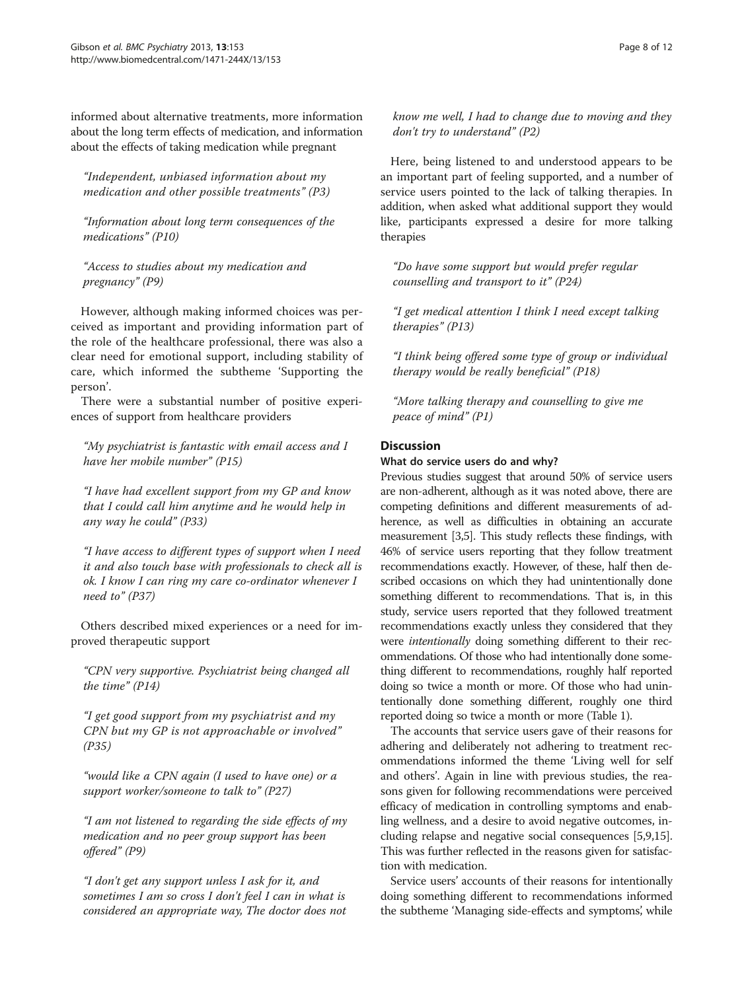informed about alternative treatments, more information about the long term effects of medication, and information about the effects of taking medication while pregnant

"Independent, unbiased information about my medication and other possible treatments" (P3)

"Information about long term consequences of the medications" (P10)

"Access to studies about my medication and pregnancy" (P9)

However, although making informed choices was perceived as important and providing information part of the role of the healthcare professional, there was also a clear need for emotional support, including stability of care, which informed the subtheme 'Supporting the person'.

There were a substantial number of positive experiences of support from healthcare providers

"My psychiatrist is fantastic with email access and I have her mobile number" (P15)

"I have had excellent support from my GP and know that I could call him anytime and he would help in any way he could" (P33)

"I have access to different types of support when I need it and also touch base with professionals to check all is ok. I know I can ring my care co-ordinator whenever I need to" (P37)

Others described mixed experiences or a need for improved therapeutic support

"CPN very supportive. Psychiatrist being changed all the time" (P14)

"I get good support from my psychiatrist and my CPN but my GP is not approachable or involved" (P35)

"would like a CPN again (I used to have one) or a support worker/someone to talk to" (P27)

"I am not listened to regarding the side effects of my medication and no peer group support has been offered" (P9)

"I don't get any support unless I ask for it, and sometimes I am so cross I don't feel I can in what is considered an appropriate way, The doctor does not know me well, I had to change due to moving and they don't try to understand" (P2)

Here, being listened to and understood appears to be an important part of feeling supported, and a number of service users pointed to the lack of talking therapies. In addition, when asked what additional support they would like, participants expressed a desire for more talking therapies

"Do have some support but would prefer regular counselling and transport to it" (P24)

"I get medical attention I think I need except talking therapies" (P13)

"I think being offered some type of group or individual therapy would be really beneficial" (P18)

"More talking therapy and counselling to give me peace of mind" (P1)

## **Discussion**

#### What do service users do and why?

Previous studies suggest that around 50% of service users are non-adherent, although as it was noted above, there are competing definitions and different measurements of adherence, as well as difficulties in obtaining an accurate measurement [[3,5\]](#page-10-0). This study reflects these findings, with 46% of service users reporting that they follow treatment recommendations exactly. However, of these, half then described occasions on which they had unintentionally done something different to recommendations. That is, in this study, service users reported that they followed treatment recommendations exactly unless they considered that they were intentionally doing something different to their recommendations. Of those who had intentionally done something different to recommendations, roughly half reported doing so twice a month or more. Of those who had unintentionally done something different, roughly one third reported doing so twice a month or more (Table [1](#page-3-0)).

The accounts that service users gave of their reasons for adhering and deliberately not adhering to treatment recommendations informed the theme 'Living well for self and others'. Again in line with previous studies, the reasons given for following recommendations were perceived efficacy of medication in controlling symptoms and enabling wellness, and a desire to avoid negative outcomes, including relapse and negative social consequences [\[5,9,](#page-10-0)[15](#page-11-0)]. This was further reflected in the reasons given for satisfaction with medication.

Service users' accounts of their reasons for intentionally doing something different to recommendations informed the subtheme 'Managing side-effects and symptoms', while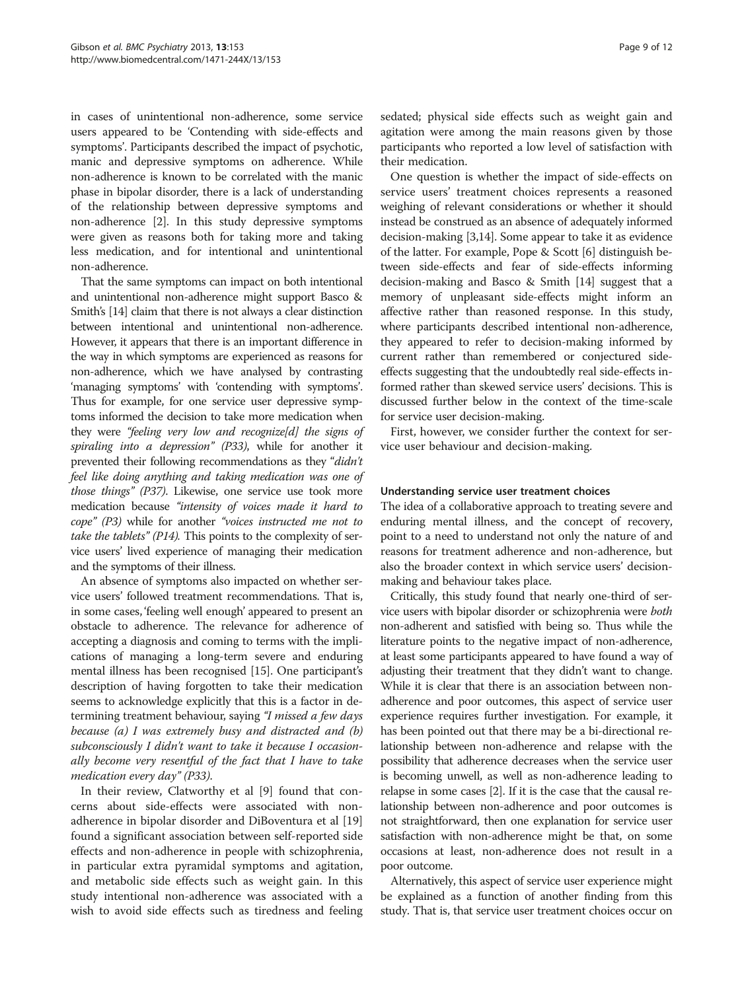in cases of unintentional non-adherence, some service users appeared to be 'Contending with side-effects and symptoms'. Participants described the impact of psychotic, manic and depressive symptoms on adherence. While non-adherence is known to be correlated with the manic phase in bipolar disorder, there is a lack of understanding of the relationship between depressive symptoms and non-adherence [\[2](#page-10-0)]. In this study depressive symptoms were given as reasons both for taking more and taking less medication, and for intentional and unintentional non-adherence.

That the same symptoms can impact on both intentional and unintentional non-adherence might support Basco & Smith's [\[14](#page-10-0)] claim that there is not always a clear distinction between intentional and unintentional non-adherence. However, it appears that there is an important difference in the way in which symptoms are experienced as reasons for non-adherence, which we have analysed by contrasting 'managing symptoms' with 'contending with symptoms'. Thus for example, for one service user depressive symptoms informed the decision to take more medication when they were "feeling very low and recognize[d] the signs of spiraling into a depression" (P33), while for another it prevented their following recommendations as they "didn't feel like doing anything and taking medication was one of those things" (P37). Likewise, one service use took more medication because "intensity of voices made it hard to cope" (P3) while for another "voices instructed me not to take the tablets" (P14). This points to the complexity of service users' lived experience of managing their medication and the symptoms of their illness.

An absence of symptoms also impacted on whether service users' followed treatment recommendations. That is, in some cases, 'feeling well enough' appeared to present an obstacle to adherence. The relevance for adherence of accepting a diagnosis and coming to terms with the implications of managing a long-term severe and enduring mental illness has been recognised [[15](#page-11-0)]. One participant's description of having forgotten to take their medication seems to acknowledge explicitly that this is a factor in determining treatment behaviour, saying "I missed a few days because (a) I was extremely busy and distracted and (b) subconsciously I didn't want to take it because I occasionally become very resentful of the fact that I have to take medication every day" (P33).

In their review, Clatworthy et al [[9\]](#page-10-0) found that concerns about side-effects were associated with nonadherence in bipolar disorder and DiBoventura et al [[19](#page-11-0)] found a significant association between self-reported side effects and non-adherence in people with schizophrenia, in particular extra pyramidal symptoms and agitation, and metabolic side effects such as weight gain. In this study intentional non-adherence was associated with a wish to avoid side effects such as tiredness and feeling sedated; physical side effects such as weight gain and agitation were among the main reasons given by those participants who reported a low level of satisfaction with their medication.

One question is whether the impact of side-effects on service users' treatment choices represents a reasoned weighing of relevant considerations or whether it should instead be construed as an absence of adequately informed decision-making [\[3,14\]](#page-10-0). Some appear to take it as evidence of the latter. For example, Pope & Scott [\[6\]](#page-10-0) distinguish between side-effects and fear of side-effects informing decision-making and Basco & Smith [[14](#page-10-0)] suggest that a memory of unpleasant side-effects might inform an affective rather than reasoned response. In this study, where participants described intentional non-adherence, they appeared to refer to decision-making informed by current rather than remembered or conjectured sideeffects suggesting that the undoubtedly real side-effects informed rather than skewed service users' decisions. This is discussed further below in the context of the time-scale for service user decision-making.

First, however, we consider further the context for service user behaviour and decision-making.

## Understanding service user treatment choices

The idea of a collaborative approach to treating severe and enduring mental illness, and the concept of recovery, point to a need to understand not only the nature of and reasons for treatment adherence and non-adherence, but also the broader context in which service users' decisionmaking and behaviour takes place.

Critically, this study found that nearly one-third of service users with bipolar disorder or schizophrenia were both non-adherent and satisfied with being so. Thus while the literature points to the negative impact of non-adherence, at least some participants appeared to have found a way of adjusting their treatment that they didn't want to change. While it is clear that there is an association between nonadherence and poor outcomes, this aspect of service user experience requires further investigation. For example, it has been pointed out that there may be a bi-directional relationship between non-adherence and relapse with the possibility that adherence decreases when the service user is becoming unwell, as well as non-adherence leading to relapse in some cases [[2\]](#page-10-0). If it is the case that the causal relationship between non-adherence and poor outcomes is not straightforward, then one explanation for service user satisfaction with non-adherence might be that, on some occasions at least, non-adherence does not result in a poor outcome.

Alternatively, this aspect of service user experience might be explained as a function of another finding from this study. That is, that service user treatment choices occur on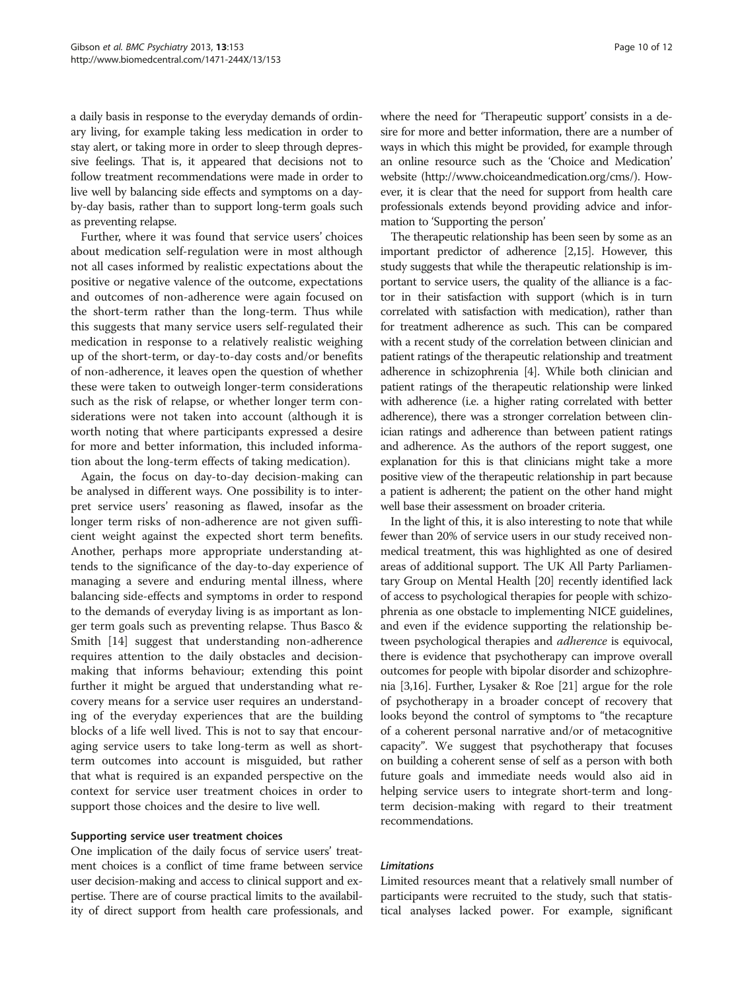a daily basis in response to the everyday demands of ordinary living, for example taking less medication in order to stay alert, or taking more in order to sleep through depressive feelings. That is, it appeared that decisions not to follow treatment recommendations were made in order to live well by balancing side effects and symptoms on a dayby-day basis, rather than to support long-term goals such as preventing relapse.

Further, where it was found that service users' choices about medication self-regulation were in most although not all cases informed by realistic expectations about the positive or negative valence of the outcome, expectations and outcomes of non-adherence were again focused on the short-term rather than the long-term. Thus while this suggests that many service users self-regulated their medication in response to a relatively realistic weighing up of the short-term, or day-to-day costs and/or benefits of non-adherence, it leaves open the question of whether these were taken to outweigh longer-term considerations such as the risk of relapse, or whether longer term considerations were not taken into account (although it is worth noting that where participants expressed a desire for more and better information, this included information about the long-term effects of taking medication).

Again, the focus on day-to-day decision-making can be analysed in different ways. One possibility is to interpret service users' reasoning as flawed, insofar as the longer term risks of non-adherence are not given sufficient weight against the expected short term benefits. Another, perhaps more appropriate understanding attends to the significance of the day-to-day experience of managing a severe and enduring mental illness, where balancing side-effects and symptoms in order to respond to the demands of everyday living is as important as longer term goals such as preventing relapse. Thus Basco & Smith [[14](#page-10-0)] suggest that understanding non-adherence requires attention to the daily obstacles and decisionmaking that informs behaviour; extending this point further it might be argued that understanding what recovery means for a service user requires an understanding of the everyday experiences that are the building blocks of a life well lived. This is not to say that encouraging service users to take long-term as well as shortterm outcomes into account is misguided, but rather that what is required is an expanded perspective on the context for service user treatment choices in order to support those choices and the desire to live well.

#### Supporting service user treatment choices

One implication of the daily focus of service users' treatment choices is a conflict of time frame between service user decision-making and access to clinical support and expertise. There are of course practical limits to the availability of direct support from health care professionals, and

where the need for 'Therapeutic support' consists in a desire for more and better information, there are a number of ways in which this might be provided, for example through an online resource such as the 'Choice and Medication' website [\(http://www.choiceandmedication.org/cms/\)](http://www.choiceandmedication.org/cms/). However, it is clear that the need for support from health care professionals extends beyond providing advice and information to 'Supporting the person'

The therapeutic relationship has been seen by some as an important predictor of adherence [[2](#page-10-0)[,15\]](#page-11-0). However, this study suggests that while the therapeutic relationship is important to service users, the quality of the alliance is a factor in their satisfaction with support (which is in turn correlated with satisfaction with medication), rather than for treatment adherence as such. This can be compared with a recent study of the correlation between clinician and patient ratings of the therapeutic relationship and treatment adherence in schizophrenia [\[4](#page-10-0)]. While both clinician and patient ratings of the therapeutic relationship were linked with adherence (i.e. a higher rating correlated with better adherence), there was a stronger correlation between clinician ratings and adherence than between patient ratings and adherence. As the authors of the report suggest, one explanation for this is that clinicians might take a more positive view of the therapeutic relationship in part because a patient is adherent; the patient on the other hand might well base their assessment on broader criteria.

In the light of this, it is also interesting to note that while fewer than 20% of service users in our study received nonmedical treatment, this was highlighted as one of desired areas of additional support. The UK All Party Parliamentary Group on Mental Health [\[20\]](#page-11-0) recently identified lack of access to psychological therapies for people with schizophrenia as one obstacle to implementing NICE guidelines, and even if the evidence supporting the relationship between psychological therapies and *adherence* is equivocal, there is evidence that psychotherapy can improve overall outcomes for people with bipolar disorder and schizophrenia [\[3](#page-10-0)[,16\]](#page-11-0). Further, Lysaker & Roe [\[21\]](#page-11-0) argue for the role of psychotherapy in a broader concept of recovery that looks beyond the control of symptoms to "the recapture of a coherent personal narrative and/or of metacognitive capacity". We suggest that psychotherapy that focuses on building a coherent sense of self as a person with both future goals and immediate needs would also aid in helping service users to integrate short-term and longterm decision-making with regard to their treatment recommendations.

# Limitations

Limited resources meant that a relatively small number of participants were recruited to the study, such that statistical analyses lacked power. For example, significant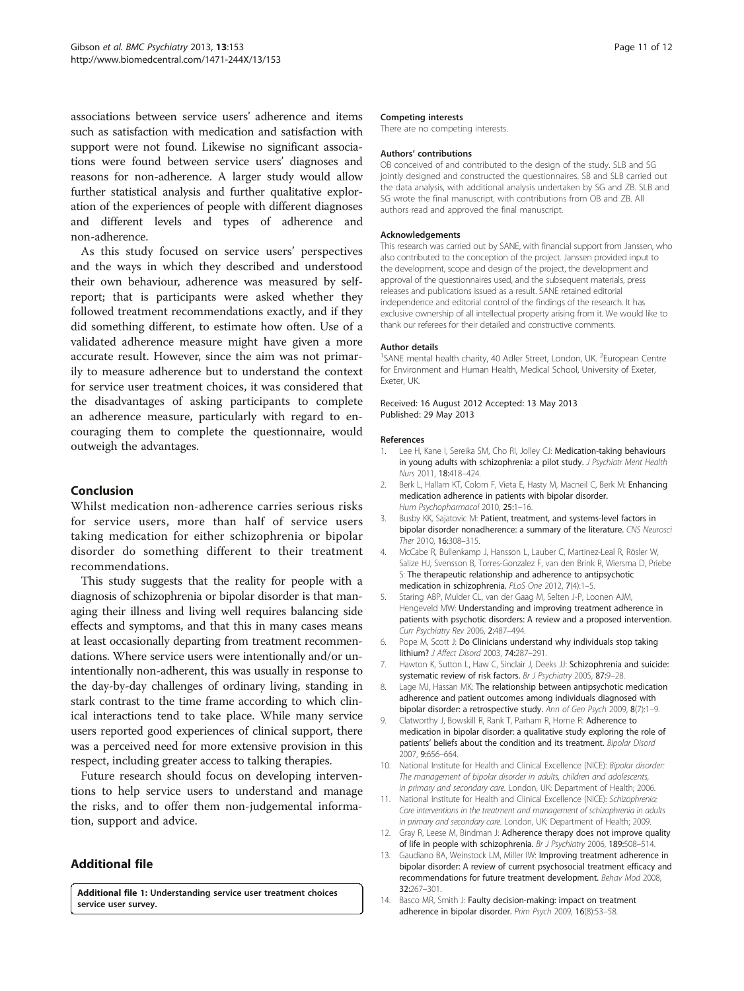<span id="page-10-0"></span>associations between service users' adherence and items such as satisfaction with medication and satisfaction with support were not found. Likewise no significant associations were found between service users' diagnoses and reasons for non-adherence. A larger study would allow further statistical analysis and further qualitative exploration of the experiences of people with different diagnoses and different levels and types of adherence and non-adherence.

As this study focused on service users' perspectives and the ways in which they described and understood their own behaviour, adherence was measured by selfreport; that is participants were asked whether they followed treatment recommendations exactly, and if they did something different, to estimate how often. Use of a validated adherence measure might have given a more accurate result. However, since the aim was not primarily to measure adherence but to understand the context for service user treatment choices, it was considered that the disadvantages of asking participants to complete an adherence measure, particularly with regard to encouraging them to complete the questionnaire, would outweigh the advantages.

# Conclusion

Whilst medication non-adherence carries serious risks for service users, more than half of service users taking medication for either schizophrenia or bipolar disorder do something different to their treatment recommendations.

This study suggests that the reality for people with a diagnosis of schizophrenia or bipolar disorder is that managing their illness and living well requires balancing side effects and symptoms, and that this in many cases means at least occasionally departing from treatment recommendations. Where service users were intentionally and/or unintentionally non-adherent, this was usually in response to the day-by-day challenges of ordinary living, standing in stark contrast to the time frame according to which clinical interactions tend to take place. While many service users reported good experiences of clinical support, there was a perceived need for more extensive provision in this respect, including greater access to talking therapies.

Future research should focus on developing interventions to help service users to understand and manage the risks, and to offer them non-judgemental information, support and advice.

# Additional file

[Additional file 1:](http://www.biomedcentral.com/content/supplementary/1471-244X-13-153-S1.pdf) Understanding service user treatment choices service user survey.

#### Competing interests

There are no competing interests.

#### Authors' contributions

OB conceived of and contributed to the design of the study. SLB and SG jointly designed and constructed the questionnaires. SB and SLB carried out the data analysis, with additional analysis undertaken by SG and ZB. SLB and SG wrote the final manuscript, with contributions from OB and ZB. All authors read and approved the final manuscript.

#### Acknowledgements

This research was carried out by SANE, with financial support from Janssen, who also contributed to the conception of the project. Janssen provided input to the development, scope and design of the project, the development and approval of the questionnaires used, and the subsequent materials, press releases and publications issued as a result. SANE retained editorial independence and editorial control of the findings of the research. It has exclusive ownership of all intellectual property arising from it. We would like to thank our referees for their detailed and constructive comments.

#### Author details

<sup>1</sup>SANE mental health charity, 40 Adler Street, London, UK. <sup>2</sup>European Centre for Environment and Human Health, Medical School, University of Exeter, Exeter, UK.

#### Received: 16 August 2012 Accepted: 13 May 2013 Published: 29 May 2013

#### References

- 1. Lee H, Kane I, Sereika SM, Cho RI, Jolley CJ: Medication-taking behaviours in young adults with schizophrenia: a pilot study. J Psychiatr Ment Health Nurs 2011, 18:418–424.
- 2. Berk L, Hallam KT, Colom F, Vieta E, Hasty M, Macneil C, Berk M: Enhancing medication adherence in patients with bipolar disorder. Hum Psychopharmacol 2010, 25:1–16.
- 3. Busby KK, Sajatovic M: Patient, treatment, and systems-level factors in bipolar disorder nonadherence: a summary of the literature. CNS Neurosci Ther 2010, 16:308–315.
- 4. McCabe R, Bullenkamp J, Hansson L, Lauber C, Martinez-Leal R, Rösler W, Salize HJ, Svensson B, Torres-Gonzalez F, van den Brink R, Wiersma D, Priebe S: The therapeutic relationship and adherence to antipsychotic medication in schizophrenia. PLoS One 2012, 7(4):1–5.
- 5. Staring ABP, Mulder CL, van der Gaag M, Selten J-P, Loonen AJM, Hengeveld MW: Understanding and improving treatment adherence in patients with psychotic disorders: A review and a proposed intervention. Curr Psychiatry Rev 2006, 2:487–494.
- 6. Pope M, Scott J: Do Clinicians understand why individuals stop taking lithium? J Affect Disord 2003, 74:287–291.
- 7. Hawton K, Sutton L, Haw C, Sinclair J, Deeks JJ: Schizophrenia and suicide: systematic review of risk factors. Br J Psychiatry 2005, 87:9-28.
- 8. Lage MJ, Hassan MK: The relationship between antipsychotic medication adherence and patient outcomes among individuals diagnosed with bipolar disorder: a retrospective study. Ann of Gen Psych 2009, 8(7):1-9.
- 9. Clatworthy J, Bowskill R, Rank T, Parham R, Horne R: Adherence to medication in bipolar disorder: a qualitative study exploring the role of patients' beliefs about the condition and its treatment. Bipolar Disord 2007, 9:656–664.
- 10. National Institute for Health and Clinical Excellence (NICE): Bipolar disorder: The management of bipolar disorder in adults, children and adolescents, in primary and secondary care. London, UK: Department of Health; 2006.
- 11. National Institute for Health and Clinical Excellence (NICE): Schizophrenia: Core interventions in the treatment and management of schizophrenia in adults in primary and secondary care. London, UK: Department of Health; 2009.
- 12. Gray R, Leese M, Bindman J: Adherence therapy does not improve quality of life in people with schizophrenia. Br J Psychiatry 2006, 189:508–514.
- 13. Gaudiano BA, Weinstock LM, Miller IW: Improving treatment adherence in bipolar disorder: A review of current psychosocial treatment efficacy and recommendations for future treatment development. Behav Mod 2008, 32:267–301.
- 14. Basco MR, Smith J: Faulty decision-making: impact on treatment adherence in bipolar disorder. Prim Psych 2009, 16(8):53–58.